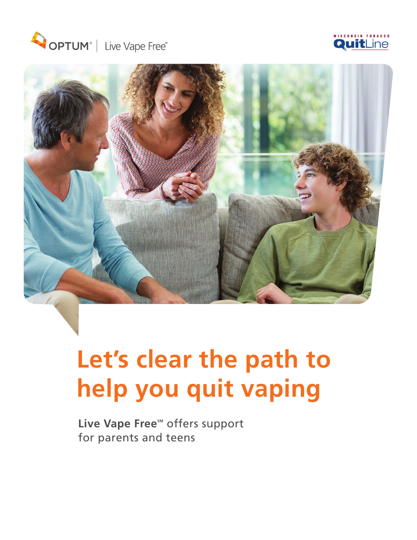





## **Let's clear the path to help you quit vaping**

Live Vape Free<sup>™</sup> offers support for parents and teens